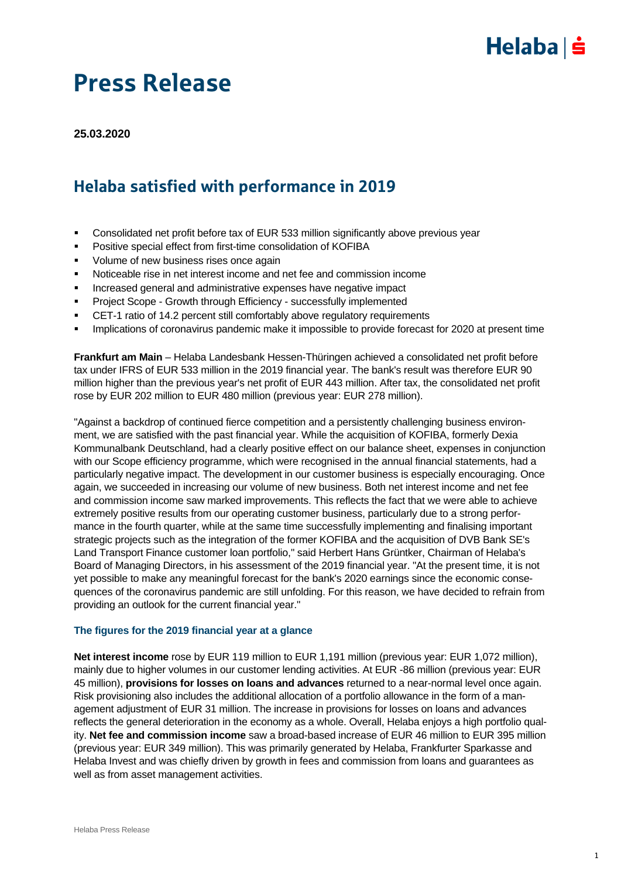

**25.03.2020**

## Helaba satisfied with performance in 2019

- Consolidated net profit before tax of EUR 533 million significantly above previous year
- Positive special effect from first-time consolidation of KOFIBA
- Volume of new business rises once again
- Noticeable rise in net interest income and net fee and commission income
- **Increased general and administrative expenses have negative impact**
- Project Scope Growth through Efficiency successfully implemented
- CET-1 ratio of 14.2 percent still comfortably above regulatory requirements
- **IMPLE 10.5 Implications of coronavirus pandemic make it impossible to provide forecast for 2020 at present time**

**Frankfurt am Main** – Helaba Landesbank Hessen-Thüringen achieved a consolidated net profit before tax under IFRS of EUR 533 million in the 2019 financial year. The bank's result was therefore EUR 90 million higher than the previous year's net profit of EUR 443 million. After tax, the consolidated net profit rose by EUR 202 million to EUR 480 million (previous year: EUR 278 million).

"Against a backdrop of continued fierce competition and a persistently challenging business environment, we are satisfied with the past financial year. While the acquisition of KOFIBA, formerly Dexia Kommunalbank Deutschland, had a clearly positive effect on our balance sheet, expenses in conjunction with our Scope efficiency programme, which were recognised in the annual financial statements, had a particularly negative impact. The development in our customer business is especially encouraging. Once again, we succeeded in increasing our volume of new business. Both net interest income and net fee and commission income saw marked improvements. This reflects the fact that we were able to achieve extremely positive results from our operating customer business, particularly due to a strong performance in the fourth quarter, while at the same time successfully implementing and finalising important strategic projects such as the integration of the former KOFIBA and the acquisition of DVB Bank SE's Land Transport Finance customer loan portfolio," said Herbert Hans Grüntker, Chairman of Helaba's Board of Managing Directors, in his assessment of the 2019 financial year. "At the present time, it is not yet possible to make any meaningful forecast for the bank's 2020 earnings since the economic consequences of the coronavirus pandemic are still unfolding. For this reason, we have decided to refrain from providing an outlook for the current financial year."

### **The figures for the 2019 financial year at a glance**

**Net interest income** rose by EUR 119 million to EUR 1,191 million (previous year: EUR 1,072 million), mainly due to higher volumes in our customer lending activities. At EUR -86 million (previous year: EUR 45 million), **provisions for losses on loans and advances** returned to a near-normal level once again. Risk provisioning also includes the additional allocation of a portfolio allowance in the form of a management adjustment of EUR 31 million. The increase in provisions for losses on loans and advances reflects the general deterioration in the economy as a whole. Overall, Helaba enjoys a high portfolio quality. **Net fee and commission income** saw a broad-based increase of EUR 46 million to EUR 395 million (previous year: EUR 349 million). This was primarily generated by Helaba, Frankfurter Sparkasse and Helaba Invest and was chiefly driven by growth in fees and commission from loans and guarantees as well as from asset management activities.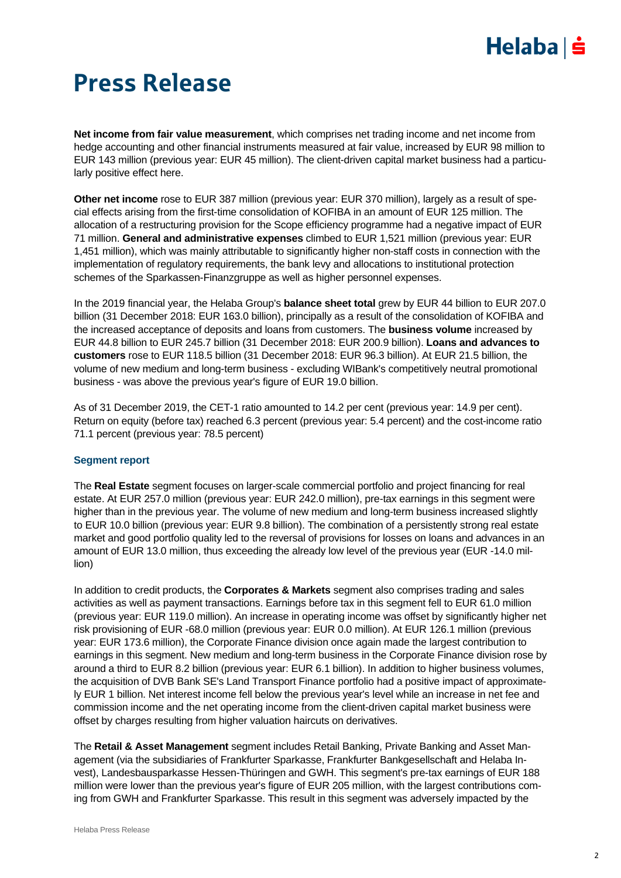# $Helaba$  =

# Press Release

**Net income from fair value measurement**, which comprises net trading income and net income from hedge accounting and other financial instruments measured at fair value, increased by EUR 98 million to EUR 143 million (previous year: EUR 45 million). The client-driven capital market business had a particularly positive effect here.

**Other net income** rose to EUR 387 million (previous year: EUR 370 million), largely as a result of special effects arising from the first-time consolidation of KOFIBA in an amount of EUR 125 million. The allocation of a restructuring provision for the Scope efficiency programme had a negative impact of EUR 71 million. **General and administrative expenses** climbed to EUR 1,521 million (previous year: EUR 1,451 million), which was mainly attributable to significantly higher non-staff costs in connection with the implementation of regulatory requirements, the bank levy and allocations to institutional protection schemes of the Sparkassen-Finanzgruppe as well as higher personnel expenses.

In the 2019 financial year, the Helaba Group's **balance sheet total** grew by EUR 44 billion to EUR 207.0 billion (31 December 2018: EUR 163.0 billion), principally as a result of the consolidation of KOFIBA and the increased acceptance of deposits and loans from customers. The **business volume** increased by EUR 44.8 billion to EUR 245.7 billion (31 December 2018: EUR 200.9 billion). **Loans and advances to customers** rose to EUR 118.5 billion (31 December 2018: EUR 96.3 billion). At EUR 21.5 billion, the volume of new medium and long-term business - excluding WIBank's competitively neutral promotional business - was above the previous year's figure of EUR 19.0 billion.

As of 31 December 2019, the CET-1 ratio amounted to 14.2 per cent (previous year: 14.9 per cent). Return on equity (before tax) reached 6.3 percent (previous year: 5.4 percent) and the cost-income ratio 71.1 percent (previous year: 78.5 percent)

### **Segment report**

The **Real Estate** segment focuses on larger-scale commercial portfolio and project financing for real estate. At EUR 257.0 million (previous year: EUR 242.0 million), pre-tax earnings in this segment were higher than in the previous year. The volume of new medium and long-term business increased slightly to EUR 10.0 billion (previous year: EUR 9.8 billion). The combination of a persistently strong real estate market and good portfolio quality led to the reversal of provisions for losses on loans and advances in an amount of EUR 13.0 million, thus exceeding the already low level of the previous year (EUR -14.0 million)

In addition to credit products, the **Corporates & Markets** segment also comprises trading and sales activities as well as payment transactions. Earnings before tax in this segment fell to EUR 61.0 million (previous year: EUR 119.0 million). An increase in operating income was offset by significantly higher net risk provisioning of EUR -68.0 million (previous year: EUR 0.0 million). At EUR 126.1 million (previous year: EUR 173.6 million), the Corporate Finance division once again made the largest contribution to earnings in this segment. New medium and long-term business in the Corporate Finance division rose by around a third to EUR 8.2 billion (previous year: EUR 6.1 billion). In addition to higher business volumes, the acquisition of DVB Bank SE's Land Transport Finance portfolio had a positive impact of approximately EUR 1 billion. Net interest income fell below the previous year's level while an increase in net fee and commission income and the net operating income from the client-driven capital market business were offset by charges resulting from higher valuation haircuts on derivatives.

The **Retail & Asset Management** segment includes Retail Banking, Private Banking and Asset Management (via the subsidiaries of Frankfurter Sparkasse, Frankfurter Bankgesellschaft and Helaba Invest), Landesbausparkasse Hessen-Thüringen and GWH. This segment's pre-tax earnings of EUR 188 million were lower than the previous year's figure of EUR 205 million, with the largest contributions coming from GWH and Frankfurter Sparkasse. This result in this segment was adversely impacted by the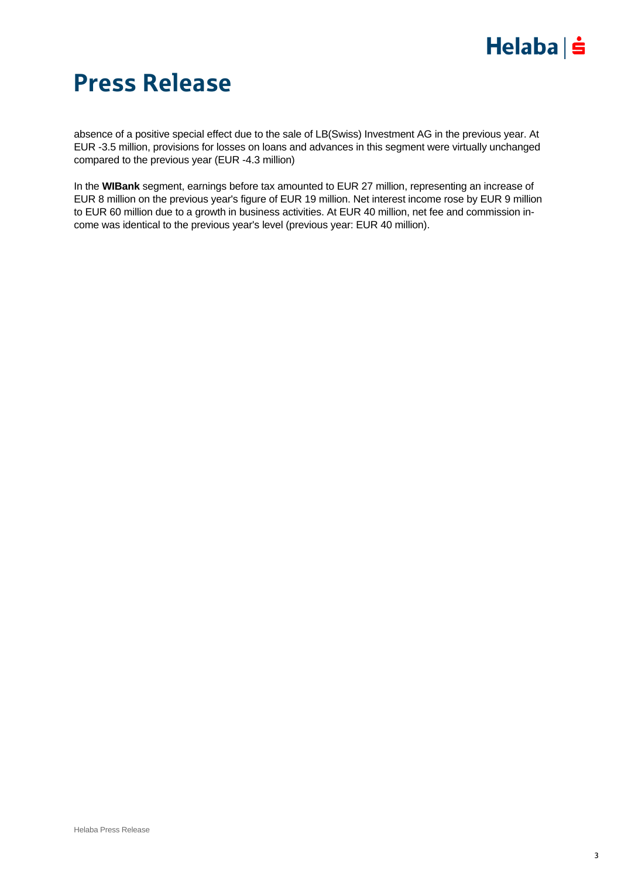

absence of a positive special effect due to the sale of LB(Swiss) Investment AG in the previous year. At EUR -3.5 million, provisions for losses on loans and advances in this segment were virtually unchanged compared to the previous year (EUR -4.3 million)

In the **WIBank** segment, earnings before tax amounted to EUR 27 million, representing an increase of EUR 8 million on the previous year's figure of EUR 19 million. Net interest income rose by EUR 9 million to EUR 60 million due to a growth in business activities. At EUR 40 million, net fee and commission income was identical to the previous year's level (previous year: EUR 40 million).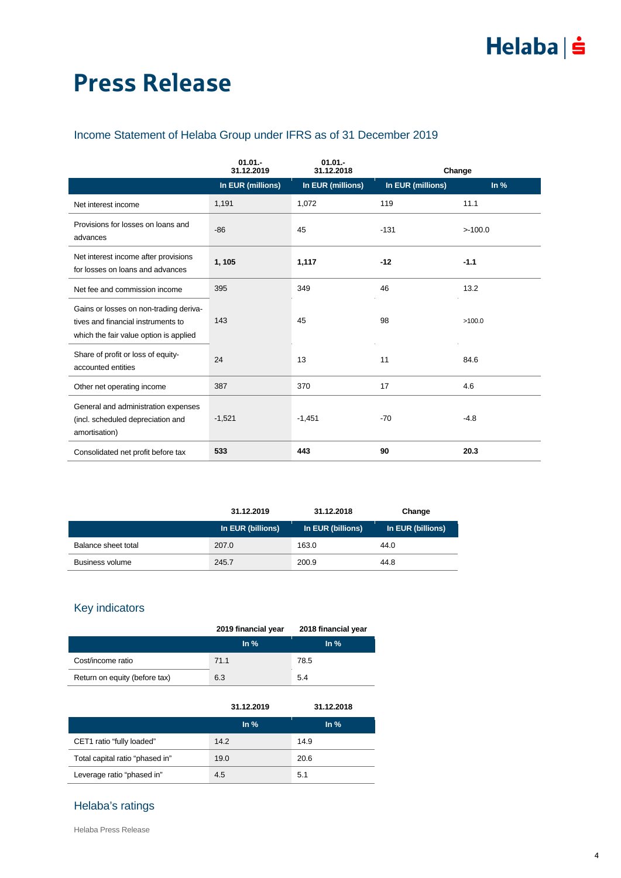### Income Statement of Helaba Group under IFRS as of 31 December 2019

|                                                                                                                        | $01.01 -$<br>31.12.2019 | $01.01 -$<br>31.12.2018 |                   | Change |
|------------------------------------------------------------------------------------------------------------------------|-------------------------|-------------------------|-------------------|--------|
|                                                                                                                        | In EUR (millions)       | In EUR (millions)       | In EUR (millions) | ln %   |
| Net interest income                                                                                                    | 1,191                   | 1,072                   | 119               | 11.1   |
| Provisions for losses on loans and<br>advances                                                                         | $-86$                   | 45                      | $-131$            | >100.0 |
| Net interest income after provisions<br>for losses on loans and advances                                               | 1, 105                  | 1,117                   | $-12$             | $-1.1$ |
| Net fee and commission income                                                                                          | 395                     | 349                     | 46                | 13.2   |
| Gains or losses on non-trading deriva-<br>tives and financial instruments to<br>which the fair value option is applied | 143                     | 45                      | 98                | >100.0 |
| Share of profit or loss of equity-<br>accounted entities                                                               | 24                      | 13                      | 11                | 84.6   |
| Other net operating income                                                                                             | 387                     | 370                     | 17                | 4.6    |
| General and administration expenses<br>(incl. scheduled depreciation and<br>amortisation)                              | $-1,521$                | $-1,451$                | $-70$             | $-4.8$ |
| Consolidated net profit before tax                                                                                     | 533                     | 443                     | 90                | 20.3   |

|                     | 31.12.2019        | 31.12.2018        | Change            |
|---------------------|-------------------|-------------------|-------------------|
|                     | In EUR (billions) | In EUR (billions) | In EUR (billions) |
| Balance sheet total | 207.0             | 163.0             | 44.0              |
| Business volume     | 245.7             | 200.9             | 44.8              |

### Key indicators

|                               | 2019 financial year | 2018 financial year |
|-------------------------------|---------------------|---------------------|
|                               | In $%$              | In $%$              |
| Cost/income ratio             | 71.1                | 78.5                |
| Return on equity (before tax) | 6.3                 | 5.4                 |

|                                 | 31.12.2019 | 31.12.2018        |
|---------------------------------|------------|-------------------|
|                                 | In $%$     | $\ln \frac{9}{6}$ |
| CET1 ratio "fully loaded"       | 14.2       | 14.9              |
| Total capital ratio "phased in" | 19.0       | 20.6              |
| Leverage ratio "phased in"      | 4.5        | 5.1               |

### Helaba's ratings